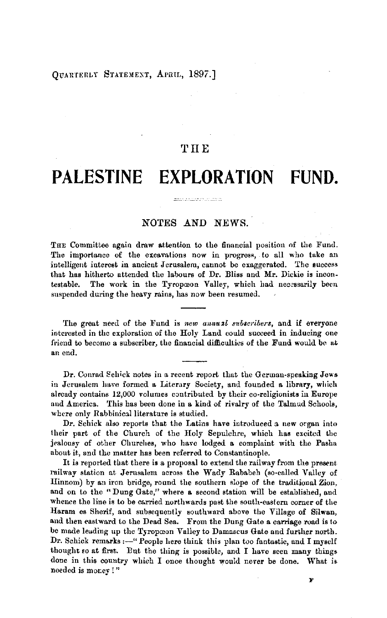#### OUARTERLY STATEMENT, APRIL, 1897.]

## **THE**

# **PALESTINE EXPLORATION FUND.**

## NOTES AND NEWS.

 $\begin{minipage}{0.5\textwidth} \begin{minipage}{0.5\textwidth} \centering \begin{minipage}{0.5\textwidth} \centering \end{minipage} \begin{minipage}{0.5\textwidth} \centering \begin{minipage}{0.5\textwidth} \centering \end{minipage} \end{minipage} \begin{minipage}{0.5\textwidth} \centering \begin{minipage}{0.5\textwidth} \centering \end{minipage} \end{minipage} \begin{minipage}{0.5\textwidth} \centering \begin{minipage}{0.5\textwidth} \centering \end{minipage} \end{minipage} \begin{minipage}{0.5\textwidth} \centering \end{min$ 

THE Committee again draw attention to the financial position of the Fund. The importance of the excavations now in progress, to all who take an intelligent interest in ancient Jerusalem, cannot be exaggerated. The success that has hitherto attended the labours of Dr. Bliss and Mr. Dickie is incontestable. The work in the Tyropoon Valley, which had neeessarily been suspended during the heavy rains, has now been resumed.

The great need of the Fund is *new annual subscribers*, and if everyone interested in the exploration of the Holy Land could succeed in inducing one friend to become a subscriber, the financial difficulties of the Fund would be at an end.

Dr. Conrad Schick notes in a recent report that the Gcrrnan-speaking **Jews**  in Jerusalem have formed a Literary Society, and founded a library, which already contains 12,000 volumes contributed by their co-religionists in Europe and America. This has been done in a kind of rivalry of the Talmud Schools, where only Rabbinical literature is studied.

Dr. Schick also reports that the Latins have introduced a new organ into their part of the Church of the Holy Sepulchre, which has excited the jealousy of other Churches, who have lodged a complaint with the Pasha about it, and the matter has been referred to Constantinople.

It is reported that there is a proposal to extend the railway from the presentrailway station at Jerusalem across the Wady Rababeh (so-called Valley of llinnom) by an iron bridge, round the southern slope of the traditional Zion, and on to the "Dung Gate," where a second station will be established, and whence the line is to be carried northwards past the south-eastern corner of the Haram es Sherif, and subsequently southward above the Village of Silwan, and then eastward to the Dead Sea. From the Dung Gate a carriage road is to be made leading up the Tyropceon Valley to Damascus Gate and further north. Dr. Schick remarks :--" People here think this plan too fantastic, and I myself thought so at first. But the thing is possible, and I have seen many things done in this country which I once thought would never be done. What is needed is money!"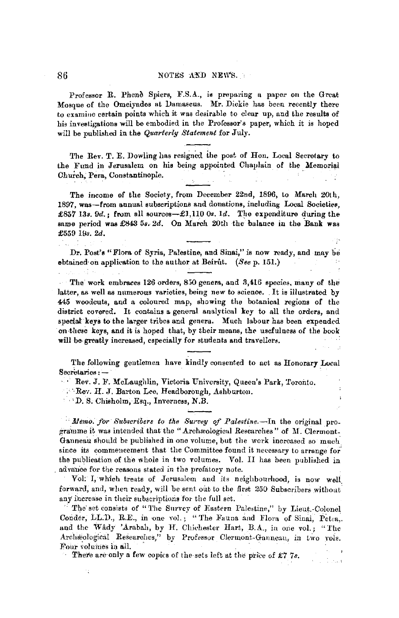### 86 NOTES AND NEWS.

Professor R. Phene Spiers, F.S.A., is preparing a paper on the Great Mosque of the Omeiyades at lJamascus. Mr. Dickie has been recently there to examine certain points which it was desirable to clear up, and the results of his investigations will be embodied in the Professor's paper, which it is hoped will be published in the *Quarterly Statement* for July.

The Rev. T. E. Dowling has resigned the post of Hon. Local Secretary to the Fund in Jerusalem on his being appointed Chaplain of the Memorial Church, Pera, Constantinople.

The income of the Society, from December 22nd, 1896, to March 20th, 1897, was-from annual subscriptions and donations, including Local Societies, £857 13s. 9d.; from all sources-£1,110 0s. 1d. The expenditure during the same period was £843 *5s. 2d.* On March 20th the balance in the Bank was £559 l!Js. *2d.* 

Dr. Post's "Flora of Syria, Palestine, and Sinai," is now ready, and may be ebtained-on applieation to the author at Beirut. *(Seep.* 151.)

The' work embraces 126 orders, 850 genera, and 3,416 species, many of the latter, as well as numerous varieties, being new to science. It is illustrated by 445 woodcuts, and a coloured map, showing the botanical regions of the district covered. It contains a general analytical key to all the orders, and special keys to the larger tribes and genera. Much labour has been expended on these keys, and it is hoped that, by their means, the usefulness of the book will be greatly increased, especially for students and travellers.

The following geutlemen have kindly consented to act as Honorary Local  $S$ ecretaries :  $-$ 

 $\overline{\phantom{a}}$ 

Rev. J. F. McLaughlin, Victoria University, Queen's Park, Toronto.

**Rev. H. J. Barton Lee, Headborough, Ashburton.** 

D. S. Chisholm, Esq., Inverness, N.B.

Ŕ

*Memo. for Subscribers to the Survey of Palestine.*-In the original programme it was intended that the "Archæological Researches" of M. Clermont-Ganneau should be published in one volume, but the work increased so much since its commencement that the Committee found it necessary to arrange for the publication of the whole in two volumes. Vol. II has been published in . advance for the reasons stated in the prefatory note.

Vol: I, which treats of Jerusalem and its neighbourhood, is now well forward, and, when ready, will be sent out to the first  $250$  Subscribers without any increase in their subscriptions for the full set.

The' set consists of "'l'he Survey of Eastern Palestine," by Lieut.-Colonel Conder, LL.D., R.E., in one vol.; "The Fauna and Flora of Sinai, Petra.. and the Wady 'Arabah, by H. Chichester Hart, B.A., in one vol.; "The Archaeological Researches," by Professor Clermont-Ganneau, in two vols. Four volumes in all.

There are only a few copies of the sets left at the price of  $\pounds 77s$ .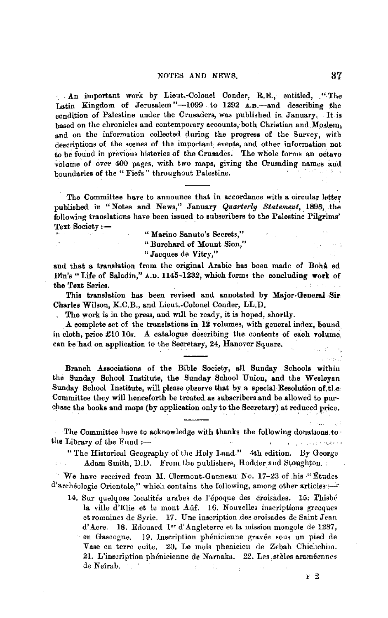An important work by Lieut.-Colonel Conder, R.E., entitled, "The Latin Kingdom of Jerusalem"-1099 to 1292 A.D.-and describing the condition of Palestine under the Crusaders, was published in January. It is hased on the chronicles and contemporary accounts, both Christian and Moslem. and on the information collected during the progress of the Survey, with descriptions of the scenes of the important events, and other information not to be found in previous histories of the Crusades. The whole forms an octavo volume of over 400 pages, with two maps, giving the Crusading names and boundaries of the "Fiefs" throughout Palestine.

The Committee have to announce that in accordance with a circular letter published in "Notes and News," January Quarterly Statement, 1896, the following translations have been issued to subscribers to the Palestine Pilgrims' Text Society:-

"Marino Sanuto's Secrets,"

"Burchard of Mount Sion,"

"Jacques de Vitry."

and that a translation from the original Arabic has been made of Boha ed Din's "Life of Saladin," A.D. 1145-1232, which forms the concluding work of the Text Series.

This translation has been revised and annotated by Major-General Sir-Charles Wilson, K.C.B., and Lieut.-Colonel Conder, LL.D.

. The work is in the press, and will be ready, it is hoped, shortly.

A complete set of the translations in 12 volumes, with general index, bound in cloth, price  $\pounds 10$  10s. A catalogue describing the contents of each volume can be had on application to the Secretary, 24, Hanover Square.

Branch Associations of the Bible Society, all Sunday Schools within the Sunday School Institute, the Sunday School Union, and the Wesleyan Sunday School Institute, will please observe that by a special Resolution of the Committee they will henceforth be treated as subscribers and be allowed to purchase the books and maps (by application only to the Secretary) at reduced price.

The Committee have to acknowledge with thanks the following donations to: the Library of the Fund  $:$  $\mathcal{F}^{\mathcal{E}}$ a consultation of the project

"The Historical Geography of the Holy Land." 4th edition. By George Adam Smith, D.D. From the publishers, Hodder and Stoughton,

We have received from M. Clermont-Ganneau No. 17-23 of his "Etudes" d'archéologie Orientale," which contains the following, among other articles :-

14. Sur quelques localités arabes de l'époque des croisades. 15. Thisbé la ville d'Elie et le mont Aûf. 16. Nouvelles inscriptions grecques et romaines de Syrie. 17. Une inscription des croisades de Saint Jean d'Acre. 18. Edouard I<sup>er</sup> d'Angleterre et la mission mongole de 1287, en Gascogne. 19. Inscription phénicienne gravée sous un pied de Vase en terre euite. 20. Le mois phenicieu de Zebah Chichchim. 21. L'inscription phénicienne de Narnaka. 22. Les stèles araméennes de Neîrab.

 $F<sub>2</sub>$ 

. Portui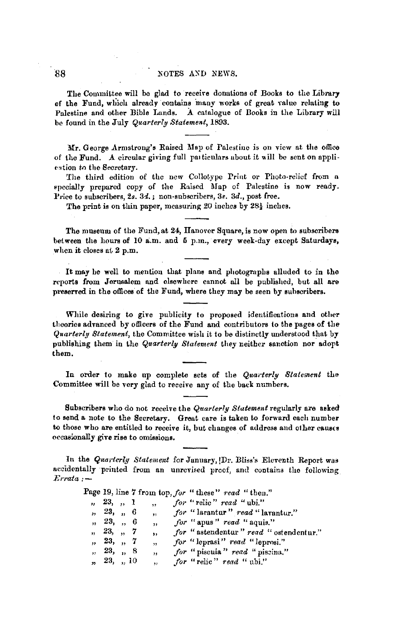The Committee will be glad to receire donations of Books to the Library of the Fund, which already contains many works of great value relating to Palestine and other Bible Lands. **A** catalogue of Books in the Library will be found in the July *Quarterly Statement,* 1893.

**Mr. George Armstrong's Raised Map of Palestine is on view at the office** of the Fund. A circular giving full particulars about it will be sent on appliestion to the Secretary.

The third edition of the new Collotype Print or Photo-relief from a •pecially prepared copy of the Raised Map of Palestine is now ready. Price to subscribers, 2s. 3d.; non-subscribers, 3s. 3d., post free.

The print is on thin paper, measuring 20 inches by 28½ inches,

The museum of the Fund, at 24, Hanover Square, is now open to subscribers between the hours of 10 a.m. and 5 p.m., every week-day except Saturdays, when it closes at  $2$  p.m.

It may be well to mention that plans and photographs alluded to in the reports from Jerusalem and elsewhere cannot all be published, but all are preserred in the offices of the Fund, where they may be seen by subscribers.

While desiring to give publicity to proposed identifications and other theories advanced by officers of the Fund and contributors to the pages of the *Quarterly Statement,* the Committee wish it to be distinctly understood that by publishing them in the *Quarterly Statement* they neither sanction nor adopt them.

In order to make up complete sets of the *Quarterly Statement* the Committee will he very glad to receive any of the back numbers.

Subscribers who do not receive the *Quarterly Statement* regularly are uked to send a. note to the Secretary. Great care is taken to forward each number to those who are entitled to receive it, but changes of address and other causes occasionally give **rise** to omissions.

In the *Quarterly Statement* for January, <sup>Dr</sup>. Bliss's Eleventh Report was accidentally printed from an unrevised proof, and contains the following *J;:rrata :-*

|  |             |                         | Page 19, line 7 from top, for "these" read "then." |
|--|-------------|-------------------------|----------------------------------------------------|
|  | ,, 23, ,, 1 | $\ddot{\phantom{1}}$    | for "relic" read "ubi."                            |
|  | , 23, 0     | $\overline{\mathbf{u}}$ | for "larantur" read "larantur."                    |
|  | , 23, ., 6  | $\overline{\mathbf{z}}$ | for "apus" read "aquis."                           |
|  | , 23, ., 7  | $\bullet$               | for "astendentur" read "ostendentur."              |
|  | , 23, , 7   | $\overline{\mathbf{5}}$ | for "leprasi" read "leprosi."                      |
|  | , 23, 8     | $\mathbf{H}$            | for "piscula" read "piscina."                      |
|  | , 23, ., 10 | ,,                      | for "relic" read "ubi."                            |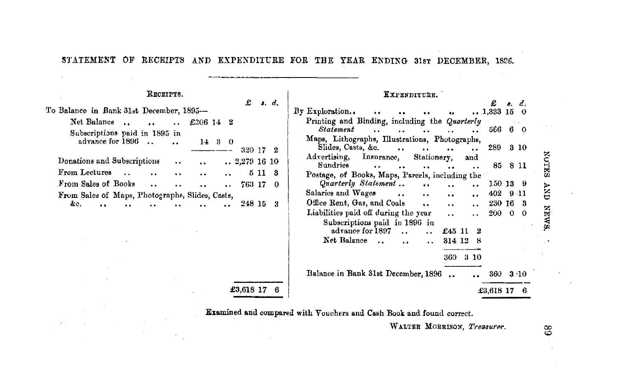# STATEMENT OF RECEIPTS AND EXPENDITURE FOR THE YEAR ENDING 31st DECEMBER, 1896.

## RECEIPTS.

| To Balance in Bank 31st December, 1895--        |           |                      |           |                   |                      |      | . .          |
|-------------------------------------------------|-----------|----------------------|-----------|-------------------|----------------------|------|--------------|
| Net Balance                                     | $\cdot$ . | $\cdot$ .            | £306 14 2 |                   |                      |      |              |
| Subscriptions paid in 1895 in                   |           |                      |           |                   |                      |      |              |
| advance for 1896                                |           |                      | 14        | з                 | - 0                  |      |              |
|                                                 |           |                      |           |                   | 320 17 2             |      |              |
| Donations and Subscriptions                     |           | $\ddot{\phantom{0}}$ | $\ddotsc$ |                   | $\ldots$ 2,279 16 10 |      |              |
| From Lectures                                   |           | $\bullet$            |           | $\cdots$ $\cdots$ |                      | 5 11 | - 3          |
| From Sales of Books                             |           | . .                  |           |                   | 763 17               |      | $\mathbf{0}$ |
| From Sales of Maps, Photographs, Slides, Casts, |           |                      |           |                   |                      |      |              |
| &с.                                             |           |                      |           |                   | 248 15               |      |              |

|                |      |                       | *************                                                                                     |                     |          |              |
|----------------|------|-----------------------|---------------------------------------------------------------------------------------------------|---------------------|----------|--------------|
| £              |      | $\boldsymbol{s}$ . d. |                                                                                                   |                     |          | s. d.        |
|                |      |                       | By Exploration<br>$\ddot{\phantom{0}}$<br>٠.                                                      | $\ldots$ 1,333 15 0 |          |              |
| $\bf{2}$       |      |                       | Printing and Binding, including the Quarterly                                                     |                     |          |              |
|                |      |                       | <b>Statement</b><br><br>                                                                          | 566                 | 6        | $\bf{0}$     |
| $\bf{o}$       |      |                       | Maps, Lithographs, Illustrations, Photographs,                                                    |                     |          |              |
| 320 17         |      | 2                     | Slides, Casts, &c.<br>$\ddot{\phantom{a}}$<br>$\ddot{\phantom{0}}$<br>$\ddot{\phantom{0}}$<br>. . | 289                 |          | 3 10         |
|                |      |                       | Advertising, Insurance,<br>Stationery,<br>and                                                     |                     |          |              |
| $.2,279$ 16 10 |      |                       | Sundries                                                                                          | 85                  |          | 8 11         |
|                | 5 11 | 3                     | Postage, of Books, Maps, Parcels, including the                                                   |                     |          |              |
| 763 17         |      | $\Omega$              | Quarterly Statement<br>$\ddot{\phantom{0}}$<br>$\ddot{\phantom{0}}$<br>$\ddot{\phantom{0}}$       | 150 13              |          | 9            |
| 8,             |      |                       | Salaries and Wages<br>. .<br>$\cdot \cdot$<br>$\ddot{\phantom{0}}$<br>$\cdot$                     | 402                 |          | 9 11         |
| 248 15         |      | 3                     | Office Rent, Gas, and Coals<br>$\ddot{\phantom{a}}$<br>$\cdot$ .<br>$\cdot$                       | 230 16              |          | 3            |
|                |      |                       | Liabilities paid off during the year<br>$\cdot$ .                                                 | 200                 | $\Omega$ | 0            |
|                |      |                       | Subscriptions paid in 1896 in                                                                     |                     |          |              |
|                |      |                       | advance for 1897<br>£45 11<br>2                                                                   |                     |          |              |
|                |      |                       | Net Balance<br>314 12<br>я<br>$\ddot{\phantom{a}}$<br>. .                                         |                     |          |              |
|                |      |                       |                                                                                                   |                     |          |              |
|                |      |                       | 360<br>3 10                                                                                       |                     |          |              |
|                |      |                       |                                                                                                   |                     |          |              |
|                |      |                       | Balance in Bank 31st December, 1896.                                                              | 360                 |          | $3 \cdot 10$ |
| £3,618 17      |      |                       |                                                                                                   |                     |          |              |
|                |      |                       |                                                                                                   | £3,618 17           |          | 6            |
|                |      |                       |                                                                                                   |                     |          |              |

 $\tan x$  $\tan x$ 

Examined and compared with Vouchers and Cash Book and found correct.

WALTER MORRISON, Treasurer.

**NUTES AND NEWS.** 

 $68$